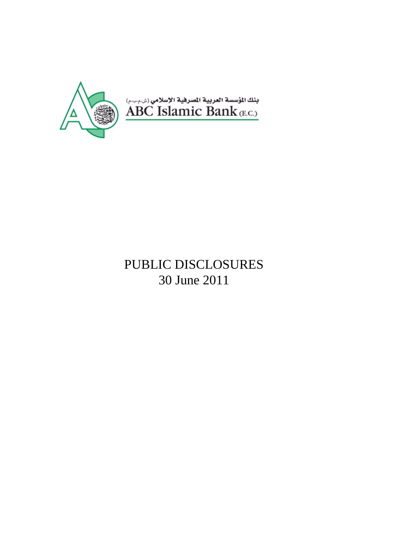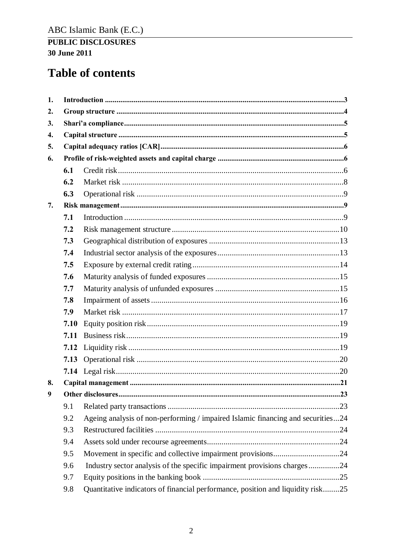# **Table of contents**

| 1. |      |                                                                                 |
|----|------|---------------------------------------------------------------------------------|
| 2. |      |                                                                                 |
| 3. |      |                                                                                 |
| 4. |      |                                                                                 |
| 5. |      |                                                                                 |
| 6. |      |                                                                                 |
|    | 6.1  |                                                                                 |
|    | 6.2  |                                                                                 |
|    | 6.3  |                                                                                 |
| 7. |      |                                                                                 |
|    | 7.1  |                                                                                 |
|    | 7.2  |                                                                                 |
|    | 7.3  |                                                                                 |
|    | 7.4  |                                                                                 |
|    | 7.5  |                                                                                 |
|    | 7.6  |                                                                                 |
|    | 7.7  |                                                                                 |
|    | 7.8  |                                                                                 |
|    | 7.9  |                                                                                 |
|    | 7.10 |                                                                                 |
|    | 7.11 |                                                                                 |
|    | 7.12 |                                                                                 |
|    | 7.13 |                                                                                 |
|    |      |                                                                                 |
| 8. |      |                                                                                 |
| 9  |      |                                                                                 |
|    | 9.1  |                                                                                 |
|    | 9.2  | Ageing analysis of non-performing / impaired Islamic financing and securities24 |
|    | 9.3  |                                                                                 |
|    | 9.4  |                                                                                 |
|    | 9.5  |                                                                                 |
|    | 9.6  | Industry sector analysis of the specific impairment provisions charges24        |
|    | 9.7  |                                                                                 |
|    | 9.8  | Quantitative indicators of financial performance, position and liquidity risk25 |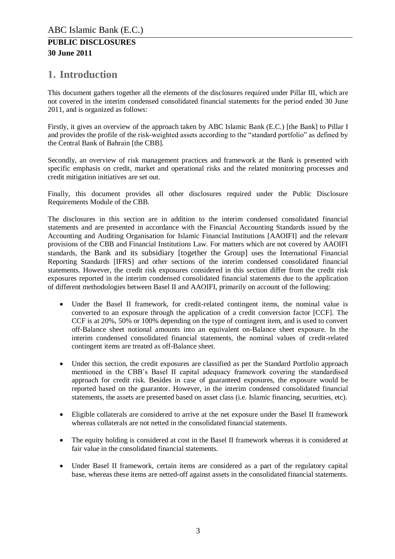## <span id="page-2-0"></span>**1. Introduction**

This document gathers together all the elements of the disclosures required under Pillar III, which are not covered in the interim condensed consolidated financial statements for the period ended 30 June 2011, and is organized as follows:

Firstly, it gives an overview of the approach taken by ABC Islamic Bank (E.C.) [the Bank] to Pillar I and provides the profile of the risk-weighted assets according to the "standard portfolio" as defined by the Central Bank of Bahrain [the CBB].

Secondly, an overview of risk management practices and framework at the Bank is presented with specific emphasis on credit, market and operational risks and the related monitoring processes and credit mitigation initiatives are set out.

Finally, this document provides all other disclosures required under the Public Disclosure Requirements Module of the CBB.

The disclosures in this section are in addition to the interim condensed consolidated financial statements and are presented in accordance with the Financial Accounting Standards issued by the Accounting and Auditing Organisation for Islamic Financial Institutions [AAOIFI] and the relevant provisions of the CBB and Financial Institutions Law. For matters which are not covered by AAOIFI standards, the Bank and its subsidiary [together the Group] uses the International Financial Reporting Standards [IFRS] and other sections of the interim condensed consolidated financial statements. However, the credit risk exposures considered in this section differ from the credit risk exposures reported in the interim condensed consolidated financial statements due to the application of different methodologies between Basel II and AAOIFI, primarily on account of the following:

- Under the Basel II framework, for credit-related contingent items, the nominal value is converted to an exposure through the application of a credit conversion factor [CCF]. The CCF is at 20%, 50% or 100% depending on the type of contingent item, and is used to convert off-Balance sheet notional amounts into an equivalent on-Balance sheet exposure. In the interim condensed consolidated financial statements, the nominal values of credit-related contingent items are treated as off-Balance sheet.
- Under this section, the credit exposures are classified as per the Standard Portfolio approach mentioned in the CBB's Basel II capital adequacy framework covering the standardised approach for credit risk. Besides in case of guaranteed exposures, the exposure would be reported based on the guarantor. However, in the interim condensed consolidated financial statements, the assets are presented based on asset class (i.e. Islamic financing, securities, etc).
- Eligible collaterals are considered to arrive at the net exposure under the Basel II framework whereas collaterals are not netted in the consolidated financial statements.
- The equity holding is considered at cost in the Basel II framework whereas it is considered at fair value in the consolidated financial statements.
- Under Basel II framework, certain items are considered as a part of the regulatory capital base, whereas these items are netted-off against assets in the consolidated financial statements.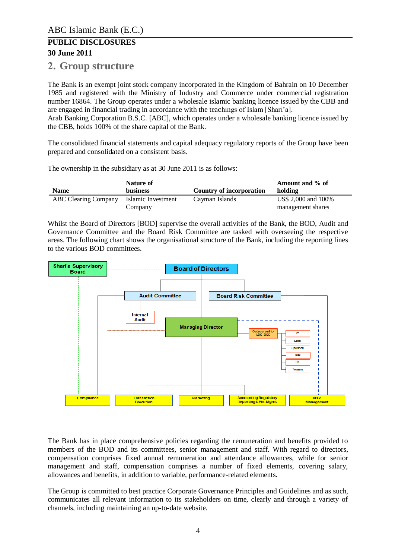### <span id="page-3-0"></span>**2. Group structure**

The Bank is an exempt joint stock company incorporated in the Kingdom of Bahrain on 10 December 1985 and registered with the Ministry of Industry and Commerce under commercial registration number 16864. The Group operates under a wholesale islamic banking licence issued by the CBB and are engaged in financial trading in accordance with the teachings of Islam [Shari'a].

Arab Banking Corporation B.S.C. [ABC], which operates under a wholesale banking licence issued by the CBB, holds 100% of the share capital of the Bank.

The consolidated financial statements and capital adequacy regulatory reports of the Group have been prepared and consolidated on a consistent basis.

The ownership in the subsidiary as at 30 June 2011 is as follows:

| <b>Name</b>                 | Nature of<br><b>business</b>  | Country of incorporation | Amount and % of<br>holding               |
|-----------------------------|-------------------------------|--------------------------|------------------------------------------|
| <b>ABC</b> Clearing Company | Islamic Investment<br>Company | Cayman Islands           | US\$ 2,000 and 100%<br>management shares |

Whilst the Board of Directors [BOD] supervise the overall activities of the Bank, the BOD, Audit and Governance Committee and the Board Risk Committee are tasked with overseeing the respective areas. The following chart shows the organisational structure of the Bank, including the reporting lines to the various BOD committees.



The Bank has in place comprehensive policies regarding the remuneration and benefits provided to members of the BOD and its committees, senior management and staff. With regard to directors, compensation comprises fixed annual remuneration and attendance allowances, while for senior management and staff, compensation comprises a number of fixed elements, covering salary, allowances and benefits, in addition to variable, performance-related elements.

The Group is committed to best practice Corporate Governance Principles and Guidelines and as such, communicates all relevant information to its stakeholders on time, clearly and through a variety of channels, including maintaining an up-to-date website.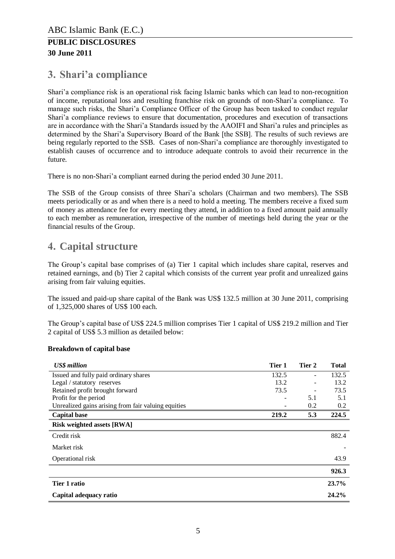## <span id="page-4-0"></span>**3. Shari'a compliance**

Shari'a compliance risk is an operational risk facing Islamic banks which can lead to non-recognition of income, reputational loss and resulting franchise risk on grounds of non-Shari'a compliance. To manage such risks, the Shari'a Compliance Officer of the Group has been tasked to conduct regular Shari'a compliance reviews to ensure that documentation, procedures and execution of transactions are in accordance with the Shari'a Standards issued by the AAOIFI and Shari'a rules and principles as determined by the Shari'a Supervisory Board of the Bank [the SSB]. The results of such reviews are being regularly reported to the SSB. Cases of non-Shari'a compliance are thoroughly investigated to establish causes of occurrence and to introduce adequate controls to avoid their recurrence in the future.

There is no non-Shari'a compliant earned during the period ended 30 June 2011.

The SSB of the Group consists of three Shari'a scholars (Chairman and two members). The SSB meets periodically or as and when there is a need to hold a meeting. The members receive a fixed sum of money as attendance fee for every meeting they attend, in addition to a fixed amount paid annually to each member as remuneration, irrespective of the number of meetings held during the year or the financial results of the Group.

## <span id="page-4-1"></span>**4. Capital structure**

The Group's capital base comprises of (a) Tier 1 capital which includes share capital, reserves and retained earnings, and (b) Tier 2 capital which consists of the current year profit and unrealized gains arising from fair valuing equities.

The issued and paid-up share capital of the Bank was US\$ 132.5 million at 30 June 2011, comprising of 1,325,000 shares of US\$ 100 each.

The Group's capital base of US\$ 224.5 million comprises Tier 1 capital of US\$ 219.2 million and Tier 2 capital of US\$ 5.3 million as detailed below:

#### **Breakdown of capital base**

| <b>US\$</b> million                                 | Tier 1 | Tier 2         | <b>Total</b> |
|-----------------------------------------------------|--------|----------------|--------------|
| Issued and fully paid ordinary shares               | 132.5  | $\overline{a}$ | 132.5        |
| Legal / statutory reserves                          | 13.2   |                | 13.2         |
| Retained profit brought forward                     | 73.5   |                | 73.5         |
| Profit for the period                               |        | 5.1            | 5.1          |
| Unrealized gains arising from fair valuing equities |        | 0.2            | 0.2          |
| <b>Capital base</b>                                 | 219.2  | 5.3            | 224.5        |
| <b>Risk weighted assets [RWA]</b>                   |        |                |              |
| Credit risk                                         |        |                | 882.4        |
| Market risk                                         |        |                |              |
| Operational risk                                    |        |                | 43.9         |
|                                                     |        |                | 926.3        |
| Tier 1 ratio                                        |        |                | 23.7%        |
| Capital adequacy ratio                              |        |                | 24.2%        |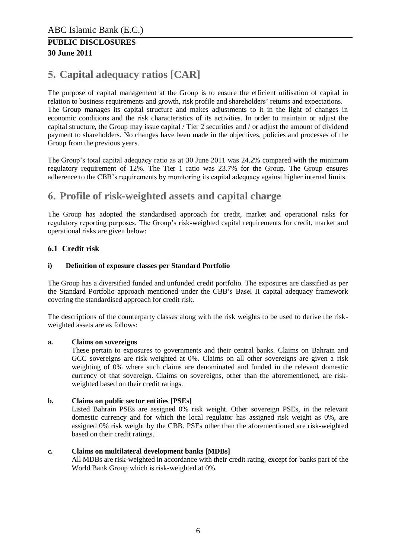#### **30 June 2011**

## <span id="page-5-0"></span>**5. Capital adequacy ratios [CAR]**

The purpose of capital management at the Group is to ensure the efficient utilisation of capital in relation to business requirements and growth, risk profile and shareholders' returns and expectations. The Group manages its capital structure and makes adjustments to it in the light of changes in economic conditions and the risk characteristics of its activities. In order to maintain or adjust the capital structure, the Group may issue capital / Tier 2 securities and / or adjust the amount of dividend payment to shareholders. No changes have been made in the objectives, policies and processes of the Group from the previous years.

The Group's total capital adequacy ratio as at 30 June 2011 was 24.2% compared with the minimum regulatory requirement of 12%. The Tier 1 ratio was 23.7% for the Group. The Group ensures adherence to the CBB's requirements by monitoring its capital adequacy against higher internal limits.

## <span id="page-5-1"></span>**6. Profile of risk-weighted assets and capital charge**

The Group has adopted the standardised approach for credit, market and operational risks for regulatory reporting purposes. The Group's risk-weighted capital requirements for credit, market and operational risks are given below:

#### <span id="page-5-2"></span>**6.1 Credit risk**

#### **i) Definition of exposure classes per Standard Portfolio**

The Group has a diversified funded and unfunded credit portfolio. The exposures are classified as per the Standard Portfolio approach mentioned under the CBB's Basel II capital adequacy framework covering the standardised approach for credit risk.

The descriptions of the counterparty classes along with the risk weights to be used to derive the riskweighted assets are as follows:

#### **a. Claims on sovereigns**

These pertain to exposures to governments and their central banks. Claims on Bahrain and GCC sovereigns are risk weighted at 0%. Claims on all other sovereigns are given a risk weighting of 0% where such claims are denominated and funded in the relevant domestic currency of that sovereign. Claims on sovereigns, other than the aforementioned, are riskweighted based on their credit ratings.

#### **b. Claims on public sector entities [PSEs]**

Listed Bahrain PSEs are assigned 0% risk weight. Other sovereign PSEs, in the relevant domestic currency and for which the local regulator has assigned risk weight as 0%, are assigned 0% risk weight by the CBB. PSEs other than the aforementioned are risk-weighted based on their credit ratings.

#### **c. Claims on multilateral development banks [MDBs]**

All MDBs are risk-weighted in accordance with their credit rating, except for banks part of the World Bank Group which is risk-weighted at 0%.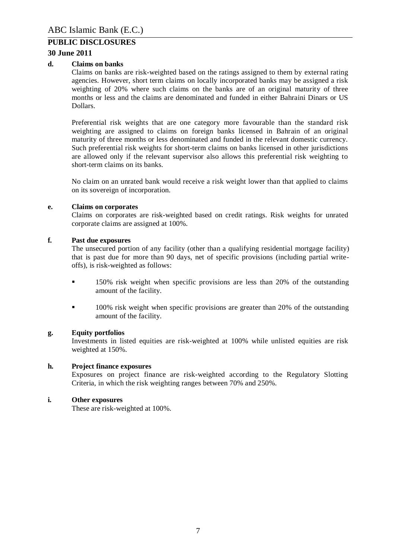#### **30 June 2011**

#### **d. Claims on banks**

Claims on banks are risk-weighted based on the ratings assigned to them by external rating agencies. However, short term claims on locally incorporated banks may be assigned a risk weighting of 20% where such claims on the banks are of an original maturity of three months or less and the claims are denominated and funded in either Bahraini Dinars or US Dollars.

Preferential risk weights that are one category more favourable than the standard risk weighting are assigned to claims on foreign banks licensed in Bahrain of an original maturity of three months or less denominated and funded in the relevant domestic currency. Such preferential risk weights for short-term claims on banks licensed in other jurisdictions are allowed only if the relevant supervisor also allows this preferential risk weighting to short-term claims on its banks.

No claim on an unrated bank would receive a risk weight lower than that applied to claims on its sovereign of incorporation.

#### **e. Claims on corporates**

Claims on corporates are risk-weighted based on credit ratings. Risk weights for unrated corporate claims are assigned at 100%.

#### **f. Past due exposures**

The unsecured portion of any facility (other than a qualifying residential mortgage facility) that is past due for more than 90 days, net of specific provisions (including partial writeoffs), is risk-weighted as follows:

- 150% risk weight when specific provisions are less than 20% of the outstanding amount of the facility.
- 100% risk weight when specific provisions are greater than 20% of the outstanding amount of the facility.

#### **g. Equity portfolios**

Investments in listed equities are risk-weighted at 100% while unlisted equities are risk weighted at 150%.

#### **h. Project finance exposures**

Exposures on project finance are risk-weighted according to the Regulatory Slotting Criteria, in which the risk weighting ranges between 70% and 250%.

#### **i. Other exposures**

These are risk-weighted at 100%.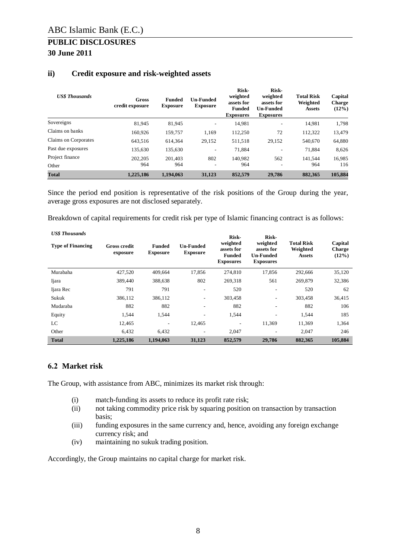| <b>US\$</b> Thousands | Gross<br>credit exposure | <b>Funded</b><br><b>Exposure</b> | <b>Un-Funded</b><br><b>Exposure</b> | Risk-<br>weighted<br>assets for<br><b>Funded</b><br><b>Exposures</b> | Risk-<br>weighted<br>assets for<br><b>Un-Funded</b><br><b>Exposures</b> | <b>Total Risk</b><br>Weighted<br><b>Assets</b> | Capital<br><b>Charge</b><br>(12%) |
|-----------------------|--------------------------|----------------------------------|-------------------------------------|----------------------------------------------------------------------|-------------------------------------------------------------------------|------------------------------------------------|-----------------------------------|
| Sovereigns            | 81,945                   | 81,945                           | ۰.                                  | 14,981                                                               | ٠.                                                                      | 14,981                                         | 1,798                             |
| Claims on banks       | 160.926                  | 159,757                          | 1,169                               | 112,250                                                              | 72                                                                      | 112,322                                        | 13,479                            |
| Claims on Corporates  | 643.516                  | 614,364                          | 29,152                              | 511,518                                                              | 29,152                                                                  | 540,670                                        | 64,880                            |
| Past due exposures    | 135.630                  | 135.630                          | ۰.                                  | 71,884                                                               |                                                                         | 71.884                                         | 8,626                             |
| Project finance       | 202,205                  | 201,403                          | 802                                 | 140.982                                                              | 562                                                                     | 141.544                                        | 16.985                            |
| Other                 | 964                      | 964                              | $\overline{\phantom{0}}$            | 964                                                                  |                                                                         | 964                                            | 116                               |
| <b>Total</b>          | 1,225,186                | 1.194.063                        | 31,123                              | 852,579                                                              | 29,786                                                                  | 882,365                                        | 105,884                           |

#### **ii) Credit exposure and risk-weighted assets**

Since the period end position is representative of the risk positions of the Group during the year, average gross exposures are not disclosed separately.

Breakdown of capital requirements for credit risk per type of Islamic financing contract is as follows:

| <b>US\$</b> Thousands<br><b>Type of Financing</b> | <b>Gross credit</b><br>exposure | <b>Funded</b><br><b>Exposure</b> | <b>Un-Funded</b><br><b>Exposure</b> | Risk-<br>weighted<br>assets for<br><b>Funded</b><br><b>Exposures</b> | Risk-<br>weighted<br>assets for<br><b>Un-Funded</b><br><b>Exposures</b> | <b>Total Risk</b><br>Weighted<br><b>Assets</b> | Capital<br><b>Charge</b><br>$(12\%)$ |
|---------------------------------------------------|---------------------------------|----------------------------------|-------------------------------------|----------------------------------------------------------------------|-------------------------------------------------------------------------|------------------------------------------------|--------------------------------------|
| Murabaha                                          | 427,520                         | 409,664                          | 17,856                              | 274,810                                                              | 17,856                                                                  | 292,666                                        | 35,120                               |
| Ijara                                             | 389,440                         | 388,638                          | 802                                 | 269,318                                                              | 561                                                                     | 269,879                                        | 32,386                               |
| Ijara Rec                                         | 791                             | 791                              | $\overline{\phantom{a}}$            | 520                                                                  | ۰.                                                                      | 520                                            | 62                                   |
| Sukuk                                             | 386,112                         | 386,112                          |                                     | 303,458                                                              | ۰.                                                                      | 303,458                                        | 36,415                               |
| Mudaraba                                          | 882                             | 882                              |                                     | 882                                                                  | ۰                                                                       | 882                                            | 106                                  |
| Equity                                            | 1,544                           | 1,544                            | ٠                                   | 1,544                                                                | $\overline{\phantom{a}}$                                                | 1,544                                          | 185                                  |
| LC                                                | 12,465                          |                                  | 12,465                              | ۰                                                                    | 11,369                                                                  | 11,369                                         | 1,364                                |
| Other                                             | 6.432                           | 6.432                            | $\overline{\phantom{a}}$            | 2.047                                                                | $\overline{\phantom{a}}$                                                | 2.047                                          | 246                                  |
| <b>Total</b>                                      | 1,225,186                       | 1.194.063                        | 31,123                              | 852,579                                                              | 29,786                                                                  | 882,365                                        | 105,884                              |

#### <span id="page-7-0"></span>**6.2 Market risk**

The Group, with assistance from ABC, minimizes its market risk through:

- (i) match-funding its assets to reduce its profit rate risk;
- (ii) not taking commodity price risk by squaring position on transaction by transaction basis;
- (iii) funding exposures in the same currency and, hence, avoiding any foreign exchange currency risk; and
- (iv) maintaining no sukuk trading position.

Accordingly, the Group maintains no capital charge for market risk.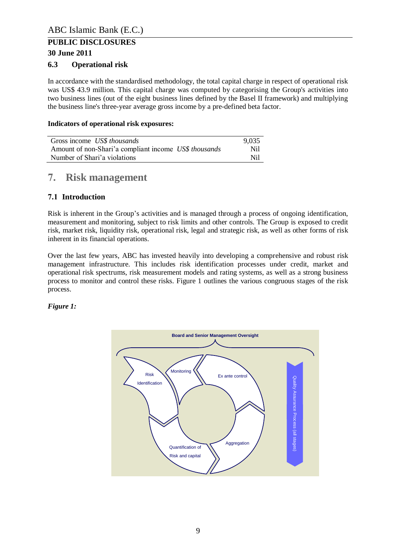#### **30 June 2011**

#### <span id="page-8-0"></span>**6.3 Operational risk**

In accordance with the standardised methodology, the total capital charge in respect of operational risk was US\$ 43.9 million. This capital charge was computed by categorising the Group's activities into two business lines (out of the eight business lines defined by the Basel II framework) and multiplying the business line's three-year average gross income by a pre-defined beta factor.

#### **Indicators of operational risk exposures:**

| Gross income US\$ thousands                           | 9.035 |
|-------------------------------------------------------|-------|
| Amount of non-Shari'a compliant income US\$ thousands | Nil   |
| Number of Shari'a violations                          | Nil   |

## <span id="page-8-1"></span>**7. Risk management**

#### <span id="page-8-2"></span>**7.1 Introduction**

Risk is inherent in the Group's activities and is managed through a process of ongoing identification, measurement and monitoring, subject to risk limits and other controls. The Group is exposed to credit risk, market risk, liquidity risk, operational risk, legal and strategic risk, as well as other forms of risk inherent in its financial operations.

Over the last few years, ABC has invested heavily into developing a comprehensive and robust risk management infrastructure. This includes risk identification processes under credit, market and operational risk spectrums, risk measurement models and rating systems, as well as a strong business process to monitor and control these risks. Figure 1 outlines the various congruous stages of the risk process.

#### *Figure 1:*

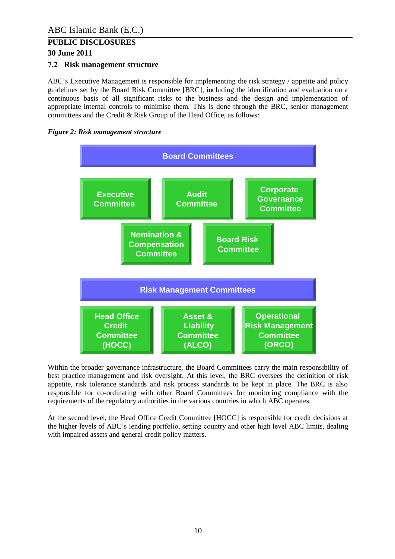#### **30 June 2011**

#### <span id="page-9-0"></span>**7.2 Risk management structure**

ABC's Executive Management is responsible for implementing the risk strategy / appetite and policy guidelines set by the Board Risk Committee [BRC], including the identification and evaluation on a continuous basis of all significant risks to the business and the design and implementation of appropriate internal controls to minimise them. This is done through the BRC, senior management committees and the Credit & Risk Group of the Head Office, as follows:

#### *Figure 2: Risk management structure*



Within the broader governance infrastructure, the Board Committees carry the main responsibility of best practice management and risk oversight. At this level, the BRC oversees the definition of risk appetite, risk tolerance standards and risk process standards to be kept in place. The BRC is also responsible for co-ordinating with other Board Committees for monitoring compliance with the requirements of the regulatory authorities in the various countries in which ABC operates.

At the second level, the Head Office Credit Committee [HOCC] is responsible for credit decisions at the higher levels of ABC's lending portfolio, setting country and other high level ABC limits, dealing with impaired assets and general credit policy matters.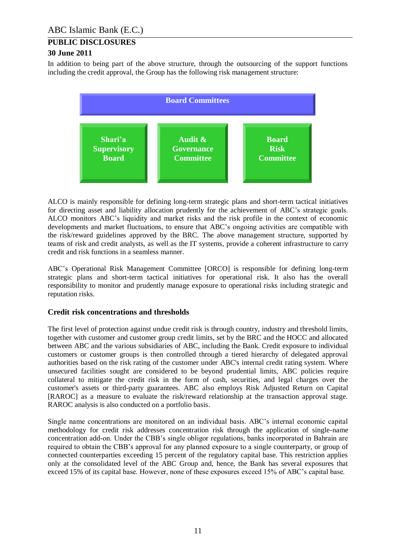In addition to being part of the above structure, through the outsourcing of the support functions including the credit approval, the Group has the following risk management structure:



ALCO is mainly responsible for defining long-term strategic plans and short-term tactical initiatives for directing asset and liability allocation prudently for the achievement of ABC's strategic goals. ALCO monitors ABC's liquidity and market risks and the risk profile in the context of economic developments and market fluctuations, to ensure that ABC's ongoing activities are compatible with the risk/reward guidelines approved by the BRC. The above management structure, supported by teams of risk and credit analysts, as well as the IT systems, provide a coherent infrastructure to carry credit and risk functions in a seamless manner.

ABC's Operational Risk Management Committee [ORCO] is responsible for defining long-term strategic plans and short-term tactical initiatives for operational risk. It also has the overall responsibility to monitor and prudently manage exposure to operational risks including strategic and reputation risks.

#### **Credit risk concentrations and thresholds**

The first level of protection against undue credit risk is through country, industry and threshold limits, together with customer and customer group credit limits, set by the BRC and the HOCC and allocated between ABC and the various subsidiaries of ABC, including the Bank. Credit exposure to individual customers or customer groups is then controlled through a tiered hierarchy of delegated approval authorities based on the risk rating of the customer under ABC's internal credit rating system. Where unsecured facilities sought are considered to be beyond prudential limits, ABC policies require collateral to mitigate the credit risk in the form of cash, securities, and legal charges over the customer's assets or third-party guarantees. ABC also employs Risk Adjusted Return on Capital [RAROC] as a measure to evaluate the risk/reward relationship at the transaction approval stage. RAROC analysis is also conducted on a portfolio basis.

Single name concentrations are monitored on an individual basis. ABC's internal economic capital methodology for credit risk addresses concentration risk through the application of single-name concentration add-on. Under the CBB's single obligor regulations, banks incorporated in Bahrain are required to obtain the CBB's approval for any planned exposure to a single counterparty, or group of connected counterparties exceeding 15 percent of the regulatory capital base. This restriction applies only at the consolidated level of the ABC Group and, hence, the Bank has several exposures that exceed 15% of its capital base. However, none of these exposures exceed 15% of ABC's capital base.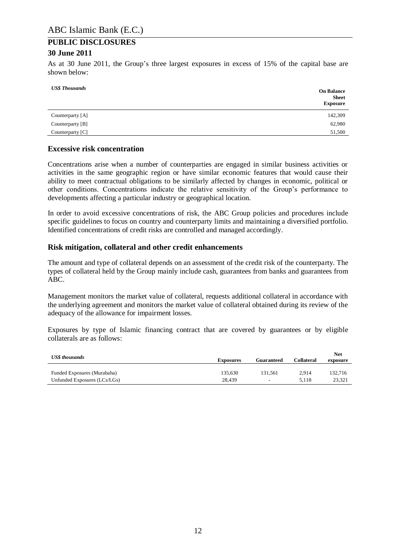#### **30 June 2011**

As at 30 June 2011, the Group's three largest exposures in excess of 15% of the capital base are shown below:

| <b>US\$</b> Thousands | <b>On Balance</b><br><b>Sheet</b><br><b>Exposure</b> |
|-----------------------|------------------------------------------------------|
| Counterparty [A]      | 142,309                                              |
| Counterparty [B]      | 62,980                                               |
| Counterparty [C]      | 51,500                                               |

#### **Excessive risk concentration**

Concentrations arise when a number of counterparties are engaged in similar business activities or activities in the same geographic region or have similar economic features that would cause their ability to meet contractual obligations to be similarly affected by changes in economic, political or other conditions. Concentrations indicate the relative sensitivity of the Group's performance to developments affecting a particular industry or geographical location.

In order to avoid excessive concentrations of risk, the ABC Group policies and procedures include specific guidelines to focus on country and counterparty limits and maintaining a diversified portfolio. Identified concentrations of credit risks are controlled and managed accordingly.

#### **Risk mitigation, collateral and other credit enhancements**

The amount and type of collateral depends on an assessment of the credit risk of the counterparty. The types of collateral held by the Group mainly include cash, guarantees from banks and guarantees from ABC.

Management monitors the market value of collateral, requests additional collateral in accordance with the underlying agreement and monitors the market value of collateral obtained during its review of the adequacy of the allowance for impairment losses.

Exposures by type of Islamic financing contract that are covered by guarantees or by eligible collaterals are as follows:

| <b>US\$</b> thousands        | <b>Exposures</b> | <b>Guaranteed</b>        | Collateral | Net<br>exposure |
|------------------------------|------------------|--------------------------|------------|-----------------|
| Funded Exposures (Murabaha)  | 135.630          | 131.561                  | 2.914      | 132.716         |
| Unfunded Exposures (LCs/LGs) | 28.439           | $\overline{\phantom{a}}$ | 5.118      | 23.321          |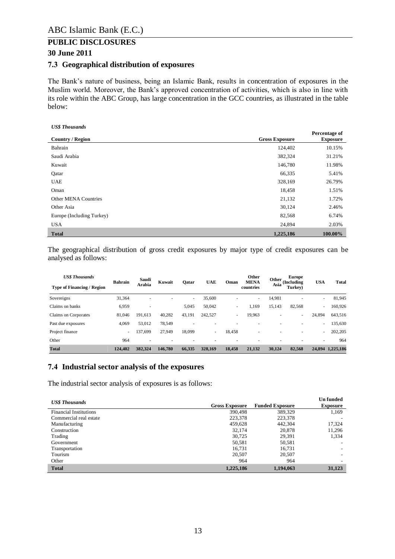#### **30 June 2011**

#### <span id="page-12-0"></span>**7.3 Geographical distribution of exposures**

The Bank's nature of business, being an Islamic Bank, results in concentration of exposures in the Muslim world. Moreover, the Bank's approved concentration of activities, which is also in line with its role within the ABC Group, has large concentration in the GCC countries, as illustrated in the table below:

#### *US\$ Thousands*

|                           |                       | Percentage of   |
|---------------------------|-----------------------|-----------------|
| <b>Country / Region</b>   | <b>Gross Exposure</b> | <b>Exposure</b> |
| Bahrain                   | 124,402               | 10.15%          |
| Saudi Arabia              | 382,324               | 31.21%          |
| Kuwait                    | 146,780               | 11.98%          |
| Qatar                     | 66,335                | 5.41%           |
| <b>UAE</b>                | 328,169               | 26.79%          |
| Oman                      | 18,458                | 1.51%           |
| Other MENA Countries      | 21,132                | 1.72%           |
| Other Asia                | 30,124                | 2.46%           |
| Europe (Including Turkey) | 82,568                | 6.74%           |
| <b>USA</b>                | 24,894                | 2.03%           |
| <b>Total</b>              | 1,225,186             | 100.00%         |

The geographical distribution of gross credit exposures by major type of credit exposures can be analysed as follows:

| <b>US\$</b> Thousands             | <b>Bahrain</b>           | Saudi                    | Kuwait  | Oatar  | <b>UAE</b>               | Oman   | Other<br><b>MENA</b> | Other  | <b>Europe</b><br>(Including | <b>USA</b>               | <b>Total</b> |
|-----------------------------------|--------------------------|--------------------------|---------|--------|--------------------------|--------|----------------------|--------|-----------------------------|--------------------------|--------------|
| <b>Type of Financing / Region</b> |                          | Arabia                   |         |        |                          |        | countries            | Asia   | Turkey)                     |                          |              |
| Sovereigns                        | 31,364                   |                          |         | -      | 35,600                   |        | $\sim$               | 14,981 | ۰                           | ٠                        | 81,945       |
| Claims on banks                   | 6,959                    | $\overline{\phantom{a}}$ |         | 5,045  | 50,042                   | ۰      | 1.169                | 15,143 | 82,568                      | $\overline{\phantom{a}}$ | 160,926      |
| Claims on Corporates              | 81,046                   | 191.613                  | 40,282  | 43,191 | 242,527                  | ۰      | 19,963               |        | $\sim$                      | 24,894                   | 643,516      |
| Past due exposures                | 4,069                    | 53,012                   | 78.549  | ٠      |                          |        | ۰                    |        | ۰                           | ٠.                       | 135,630      |
| Project finance                   | $\overline{\phantom{a}}$ | 137.699                  | 27.949  | 18.099 | $\overline{\phantom{a}}$ | 18.458 | ٠                    |        | ۰                           | ٠.                       | 202,205      |
| Other                             | 964                      |                          |         |        |                          |        |                      |        |                             | ۰                        | 964          |
| <b>Total</b>                      | 124,402                  | 382.324                  | 146,780 | 66,335 | 328.169                  | 18,458 | 21,132               | 30.124 | 82.568                      | 24,894                   | 1.225.186    |

#### <span id="page-12-1"></span>**7.4 Industrial sector analysis of the exposures**

The industrial sector analysis of exposures is as follows:

| <b>US\$</b> Thousands         | <b>Gross Exposure</b> | <b>Funded Exposure</b> | <b>Un</b> funded<br><b>Exposure</b> |
|-------------------------------|-----------------------|------------------------|-------------------------------------|
| <b>Financial Institutions</b> | 390.498               | 389,329                | 1,169                               |
| Commercial real estate        | 223,378               | 223,378                |                                     |
| Manufacturing                 | 459.628               | 442,304                | 17,324                              |
| Construction                  | 32,174                | 20,878                 | 11,296                              |
| Trading                       | 30.725                | 29,391                 | 1,334                               |
| Government                    | 50,581                | 50,581                 |                                     |
| Transportation                | 16.731                | 16.731                 |                                     |
| Tourism                       | 20,507                | 20,507                 |                                     |
| Other                         | 964                   | 964                    |                                     |
| <b>Total</b>                  | 1,225,186             | 1,194,063              | 31,123                              |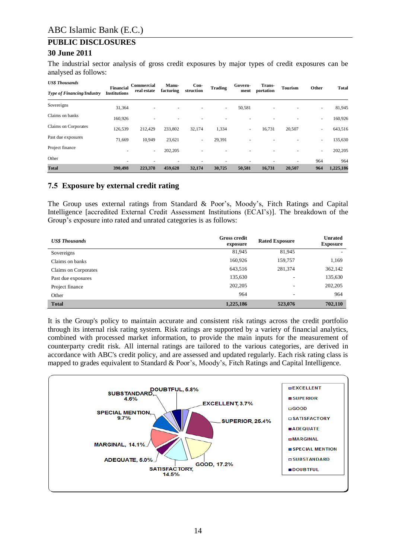The industrial sector analysis of gross credit exposures by major types of credit exposures can be analysed as follows:

| <b>US\$</b> Thousands             | <b>Financial</b>    | Commercial  | Manu-     | Con-                     | <b>Trading</b> | Govern- | Trans-    | <b>Tourism</b> | Other  | <b>Total</b> |
|-----------------------------------|---------------------|-------------|-----------|--------------------------|----------------|---------|-----------|----------------|--------|--------------|
| <b>Type of Financing/Industry</b> | <b>Institutions</b> | real estate | facturing | struction                |                | ment    | portation |                |        |              |
| Sovereigns                        | 31,364              | $\sim$      | ۰         |                          | $\sim$         | 50,581  |           |                | $\sim$ | 81,945       |
| Claims on banks                   | 160,926             | ۰           | -         |                          |                |         |           |                | ۰.     | 160,926      |
| Claims on Corporates              | 126,539             | 212,429     | 233,802   | 32,174                   | 1,334          | ٠       | 16,731    | 20,507         | $\sim$ | 643,516      |
| Past due exposures                | 71,669              | 10,949      | 23,621    | $\overline{\phantom{a}}$ | 29,391         |         |           |                | $\sim$ | 135,630      |
| Project finance                   |                     | ٠           | 202,205   |                          |                | ۰       |           |                | $\sim$ | 202,205      |
| Other                             |                     |             |           |                          |                |         |           |                | 964    | 964          |
| <b>Total</b>                      | 390,498             | 223,378     | 459,628   | 32,174                   | 30,725         | 50,581  | 16,731    | 20,507         | 964    | 1,225,186    |

#### <span id="page-13-0"></span>**7.5 Exposure by external credit rating**

The Group uses external ratings from Standard & Poor's, Moody's, Fitch Ratings and Capital Intelligence [accredited External Credit Assessment Institutions (ECAI's)]. The breakdown of the Group's exposure into rated and unrated categories is as follows:

| <b>US\$</b> Thousands | <b>Gross credit</b><br>exposure | <b>Rated Exposure</b>    | <b>Unrated</b><br><b>Exposure</b> |
|-----------------------|---------------------------------|--------------------------|-----------------------------------|
| Sovereigns            | 81,945                          | 81,945                   |                                   |
| Claims on banks       | 160,926                         | 159,757                  | 1,169                             |
| Claims on Corporates  | 643,516                         | 281,374                  | 362,142                           |
| Past due exposures    | 135,630                         | ۰                        | 135,630                           |
| Project finance       | 202,205                         | $\overline{\phantom{a}}$ | 202,205                           |
| Other                 | 964                             | $\overline{\phantom{a}}$ | 964                               |
| <b>Total</b>          | 1,225,186                       | 523,076                  | 702,110                           |

It is the Group's policy to maintain accurate and consistent risk ratings across the credit portfolio through its internal risk rating system. Risk ratings are supported by a variety of financial analytics, combined with processed market information, to provide the main inputs for the measurement of counterparty credit risk. All internal ratings are tailored to the various categories, are derived in accordance with ABC's credit policy, and are assessed and updated regularly. Each risk rating class is mapped to grades equivalent to Standard & Poor's, Moody's, Fitch Ratings and Capital Intelligence.

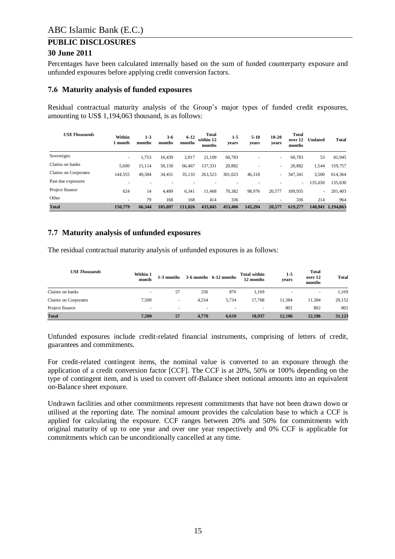#### **30 June 2011**

Percentages have been calculated internally based on the sum of funded counterparty exposure and unfunded exposures before applying credit conversion factors.

#### <span id="page-14-0"></span>**7.6 Maturity analysis of funded exposures**

Residual contractual maturity analysis of the Group's major types of funded credit exposures, amounting to US\$ 1,194,063 thousand, is as follows:

| <b>US\$ Thousands</b> | Within<br>l month        | $1 - 3$<br>months | $3 - 6$<br>months | $6 - 12$<br>months | <b>Total</b><br>within 12<br>months | $1 - 5$<br>years | $5 - 10$<br>years        | $10 - 20$<br>years       | <b>Total</b><br>over 12<br>months | <b>Undated</b> | <b>Total</b>      |
|-----------------------|--------------------------|-------------------|-------------------|--------------------|-------------------------------------|------------------|--------------------------|--------------------------|-----------------------------------|----------------|-------------------|
| Sovereigns            | $\overline{\phantom{a}}$ | 1,753             | 16,439            | 2,917              | 21,109                              | 60,783           | $\overline{\phantom{a}}$ | -                        | 60.783                            | 53             | 81,945            |
| Claims on banks       | 5,600                    | 15,114            | 50,150            | 66,467             | 137,331                             | 20,882           | $\overline{\phantom{a}}$ | -                        | 20,882                            | 1,544          | 159,757           |
| Claims on Corporates  | 144,555                  | 49,384            | 34,451            | 35,133             | 263,523                             | 301.023          | 46,318                   |                          | 347,341                           | 3,500          | 614,364           |
| Past due exposures    |                          | ۰                 |                   |                    |                                     |                  |                          |                          | ٠                                 | 135,630        | 135,630           |
| Project finance       | 624                      | 14                | 4.489             | 6,341              | 11.468                              | 70,382           | 98,976                   | 20,577                   | 189,935                           | $\sim$         | 201.403           |
| Other                 | $\overline{\phantom{a}}$ | 79                | 168               | 168                | 414                                 | 336              | $\overline{\phantom{a}}$ | $\overline{\phantom{a}}$ | 336                               | 214            | 964               |
| <b>Total</b>          | 150,779                  | 66.344            | 105.697           | 111.026            | 433,845                             | 453,406          | 145.294                  | 20,577                   | 619,277                           |                | 140.941 1.194.063 |

#### <span id="page-14-1"></span>**7.7 Maturity analysis of unfunded exposures**

The residual contractual maturity analysis of unfunded exposures is as follows:

| <b>US\$</b> Thousands | Within 1<br>month        | 1-3 months               |                          | $3-6$ months $6-12$ months | <b>Total within</b><br>12 months | $1-5$<br>years | Total<br>over 12<br>months | <b>Total</b> |
|-----------------------|--------------------------|--------------------------|--------------------------|----------------------------|----------------------------------|----------------|----------------------------|--------------|
| Claims on banks       |                          | 57                       | 236                      | 876                        | 1,169                            | ۰              | $\overline{\phantom{a}}$   | 1,169        |
| Claims on Corporates  | 7.500                    | $\overline{\phantom{a}}$ | 4.534                    | 5,734                      | 17.768                           | 11,384         | 11.384                     | 29,152       |
| Project finance       | $\overline{\phantom{a}}$ | $\overline{\phantom{a}}$ | $\overline{\phantom{a}}$ | ۰                          | $\overline{\phantom{a}}$         | 802            | 802                        | 802          |
| <b>Total</b>          | 7.500                    | 57                       | 4.770                    | 6,610                      | 18.937                           | 12,186         | 12.186                     | 31,123       |

Unfunded exposures include credit-related financial instruments, comprising of letters of credit, guarantees and commitments.

For credit-related contingent items, the nominal value is converted to an exposure through the application of a credit conversion factor [CCF]. The CCF is at 20%, 50% or 100% depending on the type of contingent item, and is used to convert off-Balance sheet notional amounts into an equivalent on-Balance sheet exposure.

Undrawn facilities and other commitments represent commitments that have not been drawn down or utilised at the reporting date. The nominal amount provides the calculation base to which a CCF is applied for calculating the exposure. CCF ranges between 20% and 50% for commitments with original maturity of up to one year and over one year respectively and 0% CCF is applicable for commitments which can be unconditionally cancelled at any time.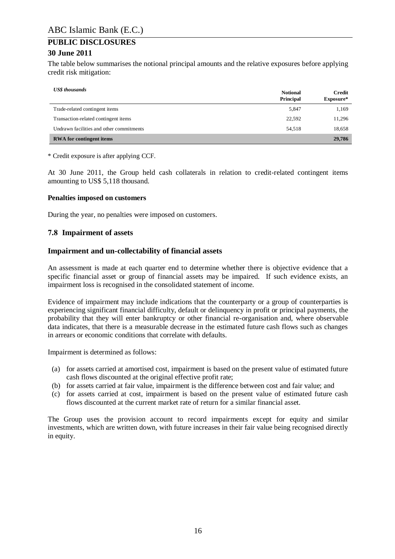#### **30 June 2011**

The table below summarises the notional principal amounts and the relative exposures before applying credit risk mitigation:

| <b>US\$</b> thousands                    | <b>Notional</b><br><b>Principal</b> | <b>Credit</b><br>Exposure* |
|------------------------------------------|-------------------------------------|----------------------------|
| Trade-related contingent items           | 5,847                               | 1,169                      |
| Transaction-related contingent items     | 22.592                              | 11,296                     |
| Undrawn facilities and other commitments | 54.518                              | 18,658                     |
| <b>RWA</b> for contingent items          |                                     | 29,786                     |

\* Credit exposure is after applying CCF.

At 30 June 2011, the Group held cash collaterals in relation to credit-related contingent items amounting to US\$ 5,118 thousand.

#### **Penalties imposed on customers**

During the year, no penalties were imposed on customers.

#### <span id="page-15-0"></span>**7.8 Impairment of assets**

#### **Impairment and un-collectability of financial assets**

An assessment is made at each quarter end to determine whether there is objective evidence that a specific financial asset or group of financial assets may be impaired. If such evidence exists, an impairment loss is recognised in the consolidated statement of income.

Evidence of impairment may include indications that the counterparty or a group of counterparties is experiencing significant financial difficulty, default or delinquency in profit or principal payments, the probability that they will enter bankruptcy or other financial re-organisation and, where observable data indicates, that there is a measurable decrease in the estimated future cash flows such as changes in arrears or economic conditions that correlate with defaults.

Impairment is determined as follows:

- (a) for assets carried at amortised cost, impairment is based on the present value of estimated future cash flows discounted at the original effective profit rate;
- (b) for assets carried at fair value, impairment is the difference between cost and fair value; and
- (c) for assets carried at cost, impairment is based on the present value of estimated future cash flows discounted at the current market rate of return for a similar financial asset.

The Group uses the provision account to record impairments except for equity and similar investments, which are written down, with future increases in their fair value being recognised directly in equity.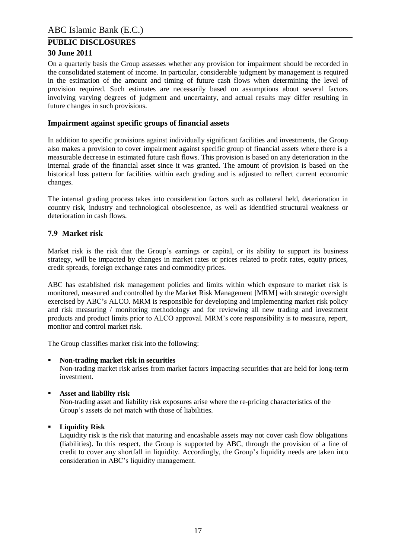#### **30 June 2011**

On a quarterly basis the Group assesses whether any provision for impairment should be recorded in the consolidated statement of income. In particular, considerable judgment by management is required in the estimation of the amount and timing of future cash flows when determining the level of provision required. Such estimates are necessarily based on assumptions about several factors involving varying degrees of judgment and uncertainty, and actual results may differ resulting in future changes in such provisions.

#### **Impairment against specific groups of financial assets**

In addition to specific provisions against individually significant facilities and investments, the Group also makes a provision to cover impairment against specific group of financial assets where there is a measurable decrease in estimated future cash flows. This provision is based on any deterioration in the internal grade of the financial asset since it was granted. The amount of provision is based on the historical loss pattern for facilities within each grading and is adjusted to reflect current economic changes.

The internal grading process takes into consideration factors such as collateral held, deterioration in country risk, industry and technological obsolescence, as well as identified structural weakness or deterioration in cash flows.

#### <span id="page-16-0"></span>**7.9 Market risk**

Market risk is the risk that the Group's earnings or capital, or its ability to support its business strategy, will be impacted by changes in market rates or prices related to profit rates, equity prices, credit spreads, foreign exchange rates and commodity prices.

ABC has established risk management policies and limits within which exposure to market risk is monitored, measured and controlled by the Market Risk Management [MRM] with strategic oversight exercised by ABC's ALCO. MRM is responsible for developing and implementing market risk policy and risk measuring / monitoring methodology and for reviewing all new trading and investment products and product limits prior to ALCO approval. MRM's core responsibility is to measure, report, monitor and control market risk

The Group classifies market risk into the following:

#### **Non-trading market risk in securities**

Non-trading market risk arises from market factors impacting securities that are held for long-term investment.

**Asset and liability risk**

Non-trading asset and liability risk exposures arise where the re-pricing characteristics of the Group's assets do not match with those of liabilities.

**Liquidity Risk**

Liquidity risk is the risk that maturing and encashable assets may not cover cash flow obligations (liabilities). In this respect, the Group is supported by ABC, through the provision of a line of credit to cover any shortfall in liquidity. Accordingly, the Group's liquidity needs are taken into consideration in ABC's liquidity management.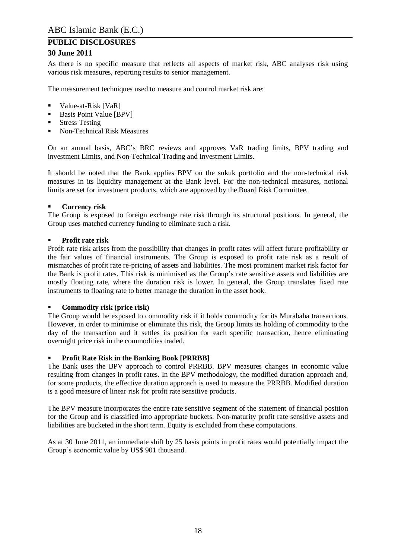#### **30 June 2011**

As there is no specific measure that reflects all aspects of market risk, ABC analyses risk using various risk measures, reporting results to senior management.

The measurement techniques used to measure and control market risk are:

- Value-at-Risk [VaR]
- Basis Point Value [BPV]
- **Stress Testing**
- Non-Technical Risk Measures

On an annual basis, ABC's BRC reviews and approves VaR trading limits, BPV trading and investment Limits, and Non-Technical Trading and Investment Limits.

It should be noted that the Bank applies BPV on the sukuk portfolio and the non-technical risk measures in its liquidity management at the Bank level. For the non-technical measures, notional limits are set for investment products, which are approved by the Board Risk Committee.

#### **Currency risk**

The Group is exposed to foreign exchange rate risk through its structural positions. In general, the Group uses matched currency funding to eliminate such a risk.

#### **Profit rate risk**

Profit rate risk arises from the possibility that changes in profit rates will affect future profitability or the fair values of financial instruments. The Group is exposed to profit rate risk as a result of mismatches of profit rate re-pricing of assets and liabilities. The most prominent market risk factor for the Bank is profit rates. This risk is minimised as the Group's rate sensitive assets and liabilities are mostly floating rate, where the duration risk is lower. In general, the Group translates fixed rate instruments to floating rate to better manage the duration in the asset book.

#### **Commodity risk (price risk)**

The Group would be exposed to commodity risk if it holds commodity for its Murabaha transactions. However, in order to minimise or eliminate this risk, the Group limits its holding of commodity to the day of the transaction and it settles its position for each specific transaction, hence eliminating overnight price risk in the commodities traded.

#### **Profit Rate Risk in the Banking Book [PRRBB]**

The Bank uses the BPV approach to control PRRBB. BPV measures changes in economic value resulting from changes in profit rates. In the BPV methodology, the modified duration approach and, for some products, the effective duration approach is used to measure the PRRBB. Modified duration is a good measure of linear risk for profit rate sensitive products.

The BPV measure incorporates the entire rate sensitive segment of the statement of financial position for the Group and is classified into appropriate buckets. Non-maturity profit rate sensitive assets and liabilities are bucketed in the short term. Equity is excluded from these computations.

As at 30 June 2011, an immediate shift by 25 basis points in profit rates would potentially impact the Group's economic value by US\$ 901 thousand.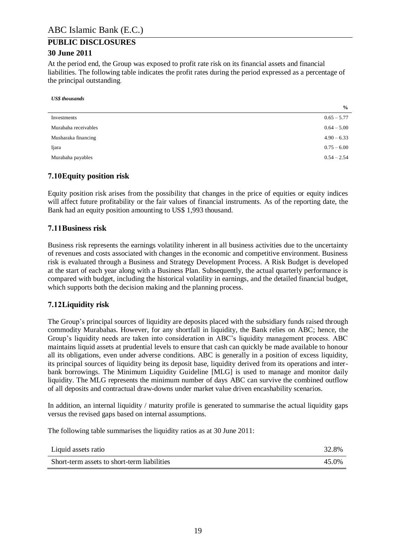At the period end, the Group was exposed to profit rate risk on its financial assets and financial liabilities. The following table indicates the profit rates during the period expressed as a percentage of the principal outstanding.

*US\$ thousands*

|                      | $\frac{6}{6}$ |
|----------------------|---------------|
| Investments          | $0.65 - 5.77$ |
| Murabaha receivables | $0.64 - 5.00$ |
| Musharaka financing  | $4.90 - 6.33$ |
| Ijara                | $0.75 - 6.00$ |
| Murabaha payables    | $0.54 - 2.54$ |

#### <span id="page-18-0"></span>**7.10Equity position risk**

Equity position risk arises from the possibility that changes in the price of equities or equity indices will affect future profitability or the fair values of financial instruments. As of the reporting date, the Bank had an equity position amounting to US\$ 1,993 thousand.

#### <span id="page-18-1"></span>**7.11Business risk**

Business risk represents the earnings volatility inherent in all business activities due to the uncertainty of revenues and costs associated with changes in the economic and competitive environment. Business risk is evaluated through a Business and Strategy Development Process. A Risk Budget is developed at the start of each year along with a Business Plan. Subsequently, the actual quarterly performance is compared with budget, including the historical volatility in earnings, and the detailed financial budget, which supports both the decision making and the planning process.

#### <span id="page-18-2"></span>**7.12Liquidity risk**

The Group's principal sources of liquidity are deposits placed with the subsidiary funds raised through commodity Murabahas. However, for any shortfall in liquidity, the Bank relies on ABC; hence, the Group's liquidity needs are taken into consideration in ABC's liquidity management process. ABC maintains liquid assets at prudential levels to ensure that cash can quickly be made available to honour all its obligations, even under adverse conditions. ABC is generally in a position of excess liquidity, its principal sources of liquidity being its deposit base, liquidity derived from its operations and interbank borrowings. The Minimum Liquidity Guideline [MLG] is used to manage and monitor daily liquidity. The MLG represents the minimum number of days ABC can survive the combined outflow of all deposits and contractual draw-downs under market value driven encashability scenarios.

In addition, an internal liquidity / maturity profile is generated to summarise the actual liquidity gaps versus the revised gaps based on internal assumptions.

The following table summarises the liquidity ratios as at 30 June 2011:

| Liquid assets ratio                         | 32.8% |
|---------------------------------------------|-------|
| Short-term assets to short-term liabilities | 45.0% |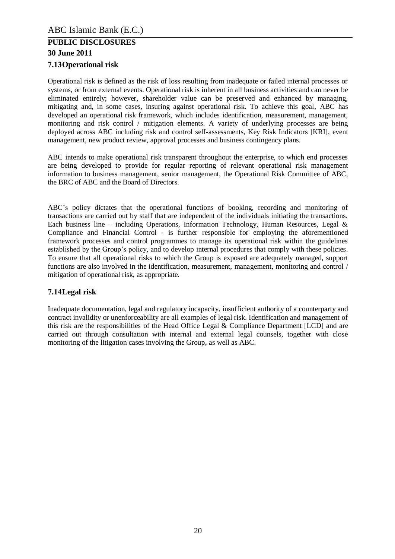## **PUBLIC DISCLOSURES 30 June 2011 7.13Operational risk**

<span id="page-19-0"></span>Operational risk is defined as the risk of loss resulting from inadequate or failed internal processes or systems, or from external events. Operational risk is inherent in all business activities and can never be eliminated entirely; however, shareholder value can be preserved and enhanced by managing, mitigating and, in some cases, insuring against operational risk. To achieve this goal, ABC has developed an operational risk framework, which includes identification, measurement, management, monitoring and risk control / mitigation elements. A variety of underlying processes are being deployed across ABC including risk and control self-assessments, Key Risk Indicators [KRI], event management, new product review, approval processes and business contingency plans.

ABC intends to make operational risk transparent throughout the enterprise, to which end processes are being developed to provide for regular reporting of relevant operational risk management information to business management, senior management, the Operational Risk Committee of ABC, the BRC of ABC and the Board of Directors.

ABC's policy dictates that the operational functions of booking, recording and monitoring of transactions are carried out by staff that are independent of the individuals initiating the transactions. Each business line – including Operations, Information Technology, Human Resources, Legal  $\&$ Compliance and Financial Control - is further responsible for employing the aforementioned framework processes and control programmes to manage its operational risk within the guidelines established by the Group's policy, and to develop internal procedures that comply with these policies. To ensure that all operational risks to which the Group is exposed are adequately managed, support functions are also involved in the identification, measurement, management, monitoring and control / mitigation of operational risk, as appropriate.

#### <span id="page-19-1"></span>**7.14Legal risk**

Inadequate documentation, legal and regulatory incapacity, insufficient authority of a counterparty and contract invalidity or unenforceability are all examples of legal risk. Identification and management of this risk are the responsibilities of the Head Office Legal & Compliance Department [LCD] and are carried out through consultation with internal and external legal counsels, together with close monitoring of the litigation cases involving the Group, as well as ABC.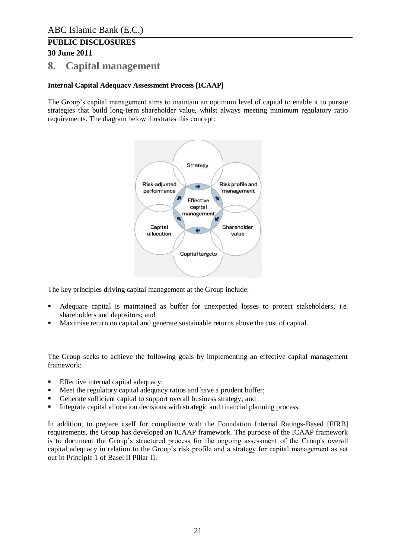## <span id="page-20-0"></span>**8. Capital management**

#### **Internal Capital Adequacy Assessment Process [ICAAP]**

The Group's capital management aims to maintain an optimum level of capital to enable it to pursue strategies that build long-term shareholder value, whilst always meeting minimum regulatory ratio requirements. The diagram below illustrates this concept:



The key principles driving capital management at the Group include:

- Adequate capital is maintained as buffer for unexpected losses to protect stakeholders, i.e. shareholders and depositors; and
- Maximise return on capital and generate sustainable returns above the cost of capital.

The Group seeks to achieve the following goals by implementing an effective capital management framework:

- Effective internal capital adequacy;
- Meet the regulatory capital adequacy ratios and have a prudent buffer;
- Generate sufficient capital to support overall business strategy; and
- Integrate capital allocation decisions with strategic and financial planning process.

In addition, to prepare itself for compliance with the Foundation Internal Ratings-Based [FIRB] requirements, the Group has developed an ICAAP framework. The purpose of the ICAAP framework is to document the Group's structured process for the ongoing assessment of the Group's overall capital adequacy in relation to the Group's risk profile and a strategy for capital management as set out in Principle 1 of Basel II Pillar II.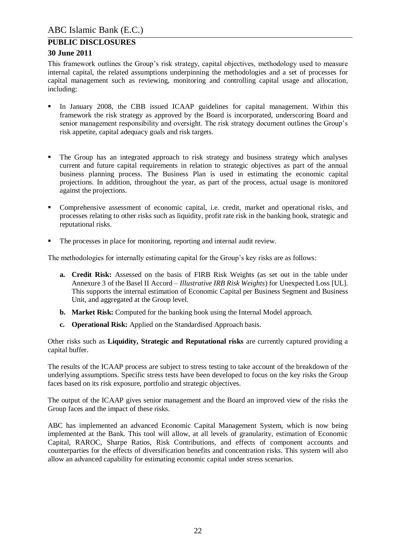#### **30 June 2011**

This framework outlines the Group's risk strategy, capital objectives, methodology used to measure internal capital, the related assumptions underpinning the methodologies and a set of processes for capital management such as reviewing, monitoring and controlling capital usage and allocation, including:

- In January 2008, the CBB issued ICAAP guidelines for capital management. Within this framework the risk strategy as approved by the Board is incorporated, underscoring Board and senior management responsibility and oversight. The risk strategy document outlines the Group's risk appetite, capital adequacy goals and risk targets.
- The Group has an integrated approach to risk strategy and business strategy which analyses current and future capital requirements in relation to strategic objectives as part of the annual business planning process. The Business Plan is used in estimating the economic capital projections. In addition, throughout the year, as part of the process, actual usage is monitored against the projections.
- Comprehensive assessment of economic capital, i.e. credit, market and operational risks, and processes relating to other risks such as liquidity, profit rate risk in the banking book, strategic and reputational risks.
- The processes in place for monitoring, reporting and internal audit review.

The methodologies for internally estimating capital for the Group's key risks are as follows:

- **a. Credit Risk:** Assessed on the basis of FIRB Risk Weights (as set out in the table under Annexure 3 of the Basel II Accord – *Illustrative IRB Risk Weights*) for Unexpected Loss [UL]. This supports the internal estimation of Economic Capital per Business Segment and Business Unit, and aggregated at the Group level.
- **b. Market Risk:** Computed for the banking book using the Internal Model approach.
- **c. Operational Risk:** Applied on the Standardised Approach basis.

Other risks such as **Liquidity, Strategic and Reputational risks** are currently captured providing a capital buffer.

The results of the ICAAP process are subject to stress testing to take account of the breakdown of the underlying assumptions. Specific stress tests have been developed to focus on the key risks the Group faces based on its risk exposure, portfolio and strategic objectives.

The output of the ICAAP gives senior management and the Board an improved view of the risks the Group faces and the impact of these risks.

ABC has implemented an advanced Economic Capital Management System, which is now being implemented at the Bank. This tool will allow, at all levels of granularity, estimation of Economic Capital, RAROC, Sharpe Ratios, Risk Contributions, and effects of component accounts and counterparties for the effects of diversification benefits and concentration risks. This system will also allow an advanced capability for estimating economic capital under stress scenarios.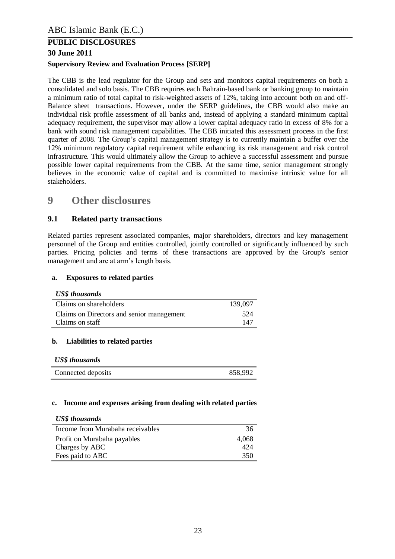#### **30 June 2011**

#### **Supervisory Review and Evaluation Process [SERP]**

The CBB is the lead regulator for the Group and sets and monitors capital requirements on both a consolidated and solo basis. The CBB requires each Bahrain-based bank or banking group to maintain a minimum ratio of total capital to risk-weighted assets of 12%, taking into account both on and off-Balance sheet transactions. However, under the SERP guidelines, the CBB would also make an individual risk profile assessment of all banks and, instead of applying a standard minimum capital adequacy requirement, the supervisor may allow a lower capital adequacy ratio in excess of 8% for a bank with sound risk management capabilities. The CBB initiated this assessment process in the first quarter of 2008. The Group's capital management strategy is to currently maintain a buffer over the 12% minimum regulatory capital requirement while enhancing its risk management and risk control infrastructure. This would ultimately allow the Group to achieve a successful assessment and pursue possible lower capital requirements from the CBB. At the same time, senior management strongly believes in the economic value of capital and is committed to maximise intrinsic value for all stakeholders.

## <span id="page-22-0"></span>**9 Other disclosures**

#### <span id="page-22-1"></span>**9.1 Related party transactions**

Related parties represent associated companies, major shareholders, directors and key management personnel of the Group and entities controlled, jointly controlled or significantly influenced by such parties. Pricing policies and terms of these transactions are approved by the Group's senior management and are at arm's length basis.

#### **a. Exposures to related parties**

#### *US\$ thousands*

| Claims on shareholders                    | 139.097 |
|-------------------------------------------|---------|
| Claims on Directors and senior management | 524     |
| Claims on staff                           | 147     |

#### **b. Liabilities to related parties**

|  | <b>US\$</b> thousands |
|--|-----------------------|
|--|-----------------------|

| Connected deposits | 858,992 |
|--------------------|---------|
|--------------------|---------|

#### **c. Income and expenses arising from dealing with related parties**

| <b>US\$</b> thousands            |       |
|----------------------------------|-------|
| Income from Murabaha receivables | 36    |
| Profit on Murabaha payables      | 4.068 |
| Charges by ABC                   | 424   |
| Fees paid to ABC                 | 350   |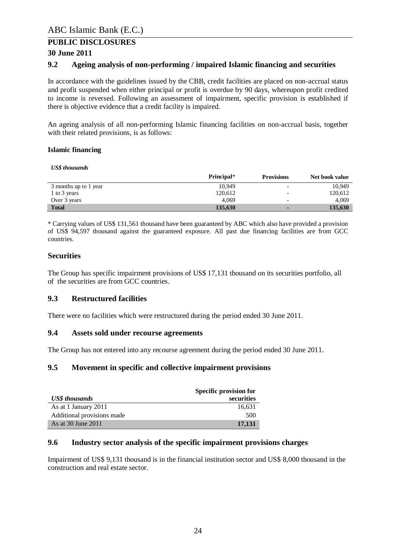#### **30 June 2011**

#### <span id="page-23-0"></span>**9.2 Ageing analysis of non-performing / impaired Islamic financing and securities**

In accordance with the guidelines issued by the CBB, credit facilities are placed on non-accrual status and profit suspended when either principal or profit is overdue by 90 days, whereupon profit credited to income is reversed. Following an assessment of impairment, specific provision is established if there is objective evidence that a credit facility is impaired.

An ageing analysis of all non-performing Islamic financing facilities on non-accrual basis, together with their related provisions, is as follows:

#### **Islamic financing**

*US\$ thousands*

|                       | Principal* | <b>Provisions</b>        | Net book value |
|-----------------------|------------|--------------------------|----------------|
| 3 months up to 1 year | 10.949     |                          | 10.949         |
| 1 to 3 years          | 120.612    | $\overline{\phantom{0}}$ | 120.612        |
| Over 3 years          | 4.069      | $\overline{\phantom{0}}$ | 4.069          |
| <b>Total</b>          | 135,630    |                          | 135,630        |

\* Carrying values of US\$ 131,561 thousand have been guaranteed by ABC which also have provided a provision of US\$ 94,597 thousand against the guaranteed exposure. All past due financing facilities are from GCC countries.

#### **Securities**

The Group has specific impairment provisions of US\$ 17,131 thousand on its securities portfolio, all of the securities are from GCC countries.

#### <span id="page-23-1"></span>**9.3 Restructured facilities**

There were no facilities which were restructured during the period ended 30 June 2011.

#### <span id="page-23-2"></span>**9.4 Assets sold under recourse agreements**

The Group has not entered into any recourse agreement during the period ended 30 June 2011.

#### <span id="page-23-3"></span>**9.5 Movement in specific and collective impairment provisions**

|                            | Specific provision for |
|----------------------------|------------------------|
| <b>US\$</b> thousands      | securities             |
| As at 1 January 2011       | 16,631                 |
| Additional provisions made | 500                    |
| As at 30 June 2011         | 17,131                 |

#### <span id="page-23-4"></span>**9.6 Industry sector analysis of the specific impairment provisions charges**

Impairment of US\$ 9,131 thousand is in the financial institution sector and US\$ 8,000 thousand in the construction and real estate sector.